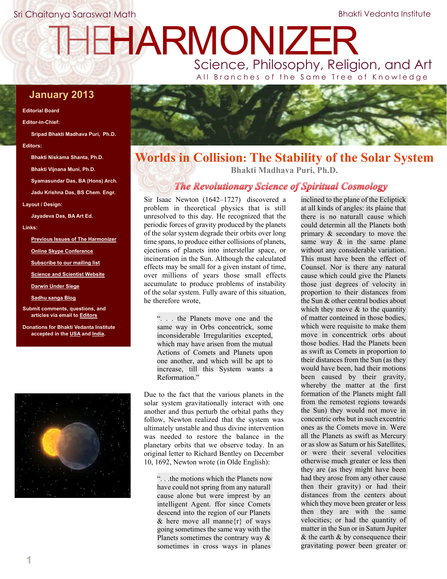# THEHARMONIZER

Science, Philosophy, Religion, and Art All Branches of the Same Tree of Knowledge

## **January 2013**

#### **Editorial Board**

**Editor-in-Chief:**

**Sripad Bhakti Madhava Puri, Ph.D.**

#### **Editors:**

**Bhakti Niskama Shanta, Ph.D.**

**Bhakti Vijnana Muni, Ph.D.**

**Syamasundar Das, BA (Hons) Arch.**

**Jadu Krishna Das, BS Chem. Engr.**

**Layout / Design:**

**Jayadeva Das, BA Art Ed.**

#### **Links:**

**[Previous Issues of The Harmonizer](http://www.mahaprabhu.net/satsanga/harmonizer/)**

**[Online Skype Conference](http://mahaprabhu.net/sadhusanga/blog1.php/2009/10/01/online-classes)**

**[Subscribe to our mailing list](https://groups.google.com/group/Online_Sadhu_Sanga/subscribe)**

**[Science and Scientist Website](http://www.scienceandscientist.org/)**

**[Darwin Under Siege](http://www.scienceandscientist.org/Darwin)**

**[Sadhu sanga Blog](http://mahaprabhu.net/satsanga)**

**Submit comments, questions, and articles via email to [Editors](mailto:editors@scienceandscientist.org)**

**Donations for Bhakti Vedanta Institute accepted in the [USA](http://bviscs.org/donate.shtml) and [India.](http://mahaprabhu.net/scsmath.siliguri/donate/)**





# **Worlds in Collision: The Stability of the Solar System Bhakti Madhava Puri, Ph.D.**

# *The Revolutionary Science of Spiritual Cosmology*

Sir Isaac Newton (1642–1727) discovered a problem in theoretical physics that is still unresolved to this day. He recognized that the periodic forces of gravity produced by the planets of the solar system degrade their orbits over long time spans, to produce either collisions of planets, ejections of planets into interstellar space, or incineration in the Sun. Although the calculated effects may be small for a given instant of time, over millions of years those small effects accumulate to produce problems of instability of the solar system. Fully aware of this situation, he therefore wrote,

". . . the Planets move one and the same way in Orbs concentrick, some inconsiderable Irregularities excepted, which may have arisen from the mutual Actions of Comets and Planets upon one another, and which will be apt to increase, till this System wants a Reformation<sup>"</sup>

Due to the fact that the various planets in the solar system gravitationally interact with one another and thus perturb the orbital paths they follow, Newton realized that the system was ultimately unstable and thus divine intervention was needed to restore the balance in the planetary orbits that we observe today. In an original letter to Richard Bentley on December 10, 1692, Newton wrote (in Olde English):

". . .the motions which the Planets now have could not spring from any naturall cause alone but were imprest by an intelligent Agent. ffor since Comets descend into the region of our Planets & here move all manne $\{r\}$  of ways going sometimes the same way with the Planets sometimes the contrary way  $\&$ sometimes in cross ways in planes

inclined to the plane of the Ecliptick at all kinds of angles: its plaine that there is no naturall cause which could determin all the Planets both primary & secondary to move the same way  $\&$  in the same plane without any considerable variation. This must have been the effect of Counsel. Nor is there any natural cause which could give the Planets those just degrees of velocity in proportion to their distances from the Sun & other central bodies about which they move  $\&$  to the quantity of matter conteined in those bodies, which were requisite to make them move in concentrick orbs about those bodies. Had the Planets been as swift as Comets in proportion to their distances from the Sun (as they would have been, had their motions been caused by their gravity, whereby the matter at the first formation of the Planets might fall from the remotest regions towards the Sun) they would not move in concentric orbs but in such excentric ones as the Comets move in. Were all the Planets as swift as Mercury or as slow as Saturn or his Satellites, or were their several velocities otherwise much greater or less then they are (as they might have been had they arose from any other cause then their gravity) or had their distances from the centers about which they move been greater or less then they are with the same velocities; or had the quantity of matter in the Sun or in Saturn Jupiter & the earth & by consequence their gravitating power been greater or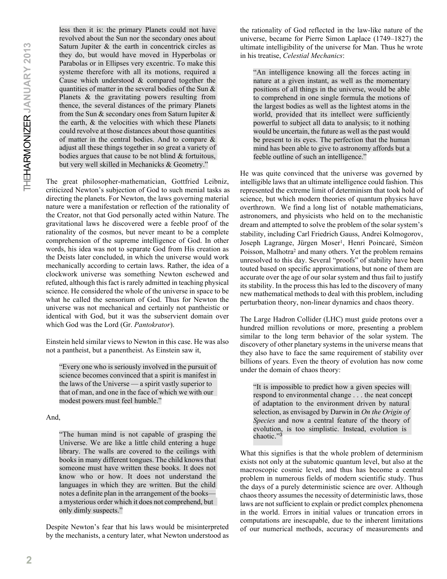less then it is: the primary Planets could not have revolved about the Sun nor the secondary ones about Saturn Jupiter & the earth in concentrick circles as they do, but would have moved in Hyperbolas or Parabolas or in Ellipses very excentric. To make this systeme therefore with all its motions, required a Cause which understood & compared together the quantities of matter in the several bodies of the Sun  $\&$ Planets & the gravitating powers resulting from thence, the several distances of the primary Planets from the Sun  $\&$  secondary ones from Saturn Iupiter  $\&$ the earth, & the velocities with which these Planets could revolve at those distances about those quantities of matter in the central bodies. And to compare  $\&$ adjust all these things together in so great a variety of bodies argues that cause to be not blind & fortuitous, but very well skilled in Mechanicks & Geometry."

The great philosopher-mathematician, Gottfried Leibniz, criticized Newton's subjection of God to such menial tasks as directing the planets. For Newton, the laws governing material nature were a manifestation or reflection of the rationality of the Creator, not that God personally acted within Nature. The gravitational laws he discovered were a feeble proof of the rationality of the cosmos, but never meant to be a complete comprehension of the supreme intelligence of God. In other words, his idea was not to separate God from His creation as the Deists later concluded, in which the universe would work mechanically according to certain laws. Rather, the idea of a clockwork universe was something Newton eschewed and refuted, although this fact is rarely admitted in teaching physical science. He considered the whole of the universe in space to be what he called the sensorium of God. Thus for Newton the universe was not mechanical and certainly not pantheistic or identical with God, but it was the subservient domain over which God was the Lord (Gr. *Pantokrator*).

Einstein held similar views to Newton in this case. He was also not a pantheist, but a panentheist. As Einstein saw it,

"Every one who is seriously involved in the pursuit of science becomes convinced that a spirit is manifest in the laws of the Universe — a spirit vastly superior to that of man, and one in the face of which we with our modest powers must feel humble."

#### And,

"The human mind is not capable of grasping the Universe. We are like a little child entering a huge library. The walls are covered to the ceilings with books in many different tongues. The child knows that someone must have written these books. It does not know who or how. It does not understand the languages in which they are written. But the child notes a definite plan in the arrangement of the books a mysterious order which it does not comprehend, but only dimly suspects."

Despite Newton's fear that his laws would be misinterpreted by the mechanists, a century later, what Newton understood as the rationality of God reflected in the law-like nature of the universe, became for Pierre Simon Laplace (1749–1827) the ultimate intelligibility of the universe for Man. Thus he wrote in his treatise, *Celestial Mechanics*:

"An intelligence knowing all the forces acting in nature at a given instant, as well as the momentary positions of all things in the universe, would be able to comprehend in one single formula the motions of the largest bodies as well as the lightest atoms in the world, provided that its intellect were sufficiently powerful to subject all data to analysis; to it nothing would be uncertain, the future as well as the past would be present to its eyes. The perfection that the human mind has been able to give to astronomy affords but a feeble outline of such an intelligence."

He was quite convinced that the universe was governed by intelligible laws that an ultimate intelligence could fashion. This represented the extreme limit of determinism that took hold of science, but which modern theories of quantum physics have overthrown. We find a long list of notable mathematicians, astronomers, and physicists who held on to the mechanistic dream and attempted to solve the problem of the solar system's stability, including Carl Friedrich Gauss, Andrei Kolmogorov, Joseph Lagrange, Jürgen Moser<sup>1</sup>, Henri Poincaré, Siméon Poisson, Malhotra<sup>2</sup> and many others. Yet the problem remains unresolved to this day. Several "proofs" of stability have been touted based on specific approximations, but none of them are accurate over the age of our solar system and thus fail to justify its stability. In the process this has led to the discovery of many new mathematical methods to deal with this problem, including perturbation theory, non-linear dynamics and chaos theory.

The Large Hadron Collider (LHC) must guide protons over a hundred million revolutions or more, presenting a problem similar to the long term behavior of the solar system. The discovery of other planetary systems in the universe means that they also have to face the same requirement of stability over billions of years. Even the theory of evolution has now come under the domain of chaos theory:

"It is impossible to predict how a given species will respond to environmental change . . . the neat concept of adaptation to the environment driven by natural selection, as envisaged by Darwin in *On the Origin of Species* and now a central feature of the theory of evolution, is too simplistic. Instead, evolution is chaotic." 3

What this signifies is that the whole problem of determinism exists not only at the subatomic quantum level, but also at the macroscopic cosmic level, and thus has become a central problem in numerous fields of modern scientific study. Thus the days of a purely deterministic science are over. Although chaos theory assumes the necessity of deterministic laws, those laws are not sufficient to explain or predict complex phenomena in the world. Errors in initial values or truncation errors in computations are inescapable, due to the inherent limitations of our numerical methods, accuracy of measurements and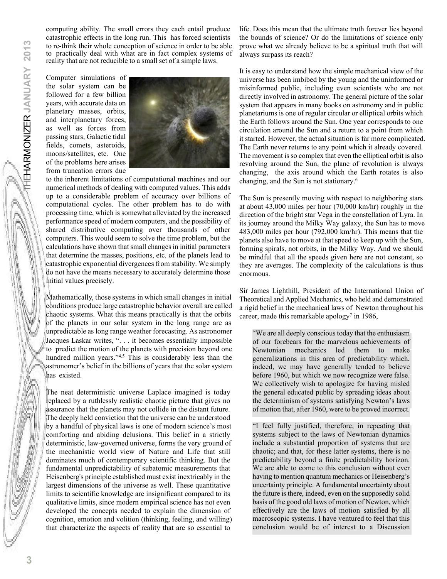computing ability. The small errors they each entail produce catastrophic effects in the long run. This has forced scientists to re-think their whole conception of science in order to be able to practically deal with what are in fact complex systems of reality that are not reducible to a small set of a simple laws.

Computer simulations of the solar system can be followed for a few billion years, with accurate data on planetary masses, orbits, and interplanetary forces, as well as forces from passing stars, Galactic tidal fields, comets, asteroids, moons/satellites, etc. One of the problems here arises from truncation errors due



to the inherent limitations of computational machines and our numerical methods of dealing with computed values. This adds up to a considerable problem of accuracy over billions of computational cycles. The other problem has to do with processing time, which is somewhat alleviated by the increased performance speed of modern computers, and the possibility of shared distributive computing over thousands of other computers. This would seem to solve the time problem, but the calculations have shown that small changes in initial parameters that determine the masses, positions, etc. of the planets lead to catastrophic exponential divergences from stability. We simply do not have the means necessary to accurately determine those initial values precisely.

Mathematically, those systems in which small changes in initial conditions produce large catastrophic behavior overall are called chaotic systems. What this means practically is that the orbits of the planets in our solar system in the long range are as unpredictable as long range weather forecasting. As astronomer Jacques Laskar writes, ". . . it becomes essentially impossible to predict the motion of the planets with precision beyond one hundred million years."4,5 This is considerably less than the astronomer's belief in the billions of years that the solar system has existed.

The neat deterministic universe Laplace imagined is today replaced by a ruthlessly realistic chaotic picture that gives no assurance that the planets may not collide in the distant future. The deeply held conviction that the universe can be understood by a handful of physical laws is one of modern science's most comforting and abiding delusions. This belief in a strictly deterministic, law-governed universe, forms the very ground of the mechanistic world view of Nature and Life that still dominates much of contemporary scientific thinking. But the fundamental unpredictability of subatomic measurements that Heisenberg's principle established must exist inextricably in the largest dimensions of the universe as well. These quantitative limits to scientific knowledge are insignificant compared to its qualitative limits, since modern empirical science has not even developed the concepts needed to explain the dimension of cognition, emotion and volition (thinking, feeling, and willing) that characterize the aspects of reality that are so essential to

life. Does this mean that the ultimate truth forever lies beyond the bounds of science? Or do the limitations of science only prove what we already believe to be a spiritual truth that will always surpass its reach?

It is easy to understand how the simple mechanical view of the universe has been imbibed by the young and the uninformed or misinformed public, including even scientists who are not directly involved in astronomy. The general picture of the solar system that appears in many books on astronomy and in public planetariums is one of regular circular or elliptical orbits which the Earth follows around the Sun. One year corresponds to one circulation around the Sun and a return to a point from which it started. However, the actual situation is far more complicated. The Earth never returns to any point which it already covered. The movement is so complex that even the elliptical orbit is also revolving around the Sun, the plane of revolution is always changing, the axis around which the Earth rotates is also changing, and the Sun is not stationary.<sup>6</sup>

The Sun is presently moving with respect to neighboring stars at about 43,000 miles per hour (70,000 km/hr) roughly in the direction of the bright star Vega in the constellation of Lyra. In its journey around the Milky Way galaxy, the Sun has to move 483,000 miles per hour (792,000 km/hr). This means that the planets also have to move at that speed to keep up with the Sun, forming spirals, not orbits, in the Milky Way. And we should be mindful that all the speeds given here are not constant, so they are averages. The complexity of the calculations is thus enormous.

Sir James Lighthill, President of the International Union of Theoretical and Applied Mechanics, who held and demonstrated a rigid belief in the mechanical laws of Newton throughout his career, made this remarkable apology<sup>7</sup> in 1986,

"We are all deeply conscious today that the enthusiasm of our forebears for the marvelous achievements of Newtonian mechanics led them to make generalizations in this area of predictability which, indeed, we may have generally tended to believe before 1960, but which we now recognize were false. We collectively wish to apologize for having misled the general educated public by spreading ideas about the determinism of systems satisfying Newton's laws of motion that, after 1960, were to be proved incorrect.

"I feel fully justified, therefore, in repeating that systems subject to the laws of Newtonian dynamics include a substantial proportion of systems that are chaotic; and that, for these latter systems, there is no predictability beyond a finite predictability horizon. We are able to come to this conclusion without ever having to mention quantum mechanics or Heisenberg's uncertainty principle. A fundamental uncertainty about the future is there, indeed, even on the supposedly solid basis of the good old laws of motion of Newton, which effectively are the laws of motion satisfied by all macroscopic systems. I have ventured to feel that this conclusion would be of interest to a Discussion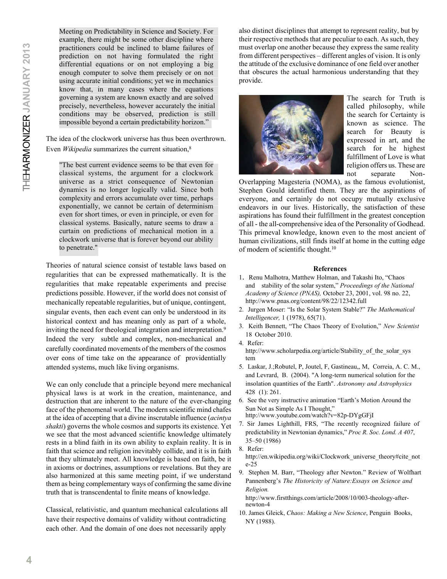Meeting on Predictability in Science and Society. For example, there might be some other discipline where practitioners could be inclined to blame failures of prediction on not having formulated the right differential equations or on not employing a big enough computer to solve them precisely or on not using accurate initial conditions; yet we in mechanics know that, in many cases where the equations governing a system are known exactly and are solved precisely, nevertheless, however accurately the initial conditions may be observed, prediction is still impossible beyond a certain predictability horizon."

The idea of the clockwork universe has thus been overthrown. Even *Wikipedia* summarizes the current situation,<sup>8</sup>

"The best current evidence seems to be that even for classical systems, the argument for a clockwork universe as a strict consequence of Newtonian dynamics is no longer logically valid. Since both complexity and errors accumulate over time, perhaps exponentially, we cannot be certain of determinism even for short times, or even in principle, or even for classical systems. Basically, nature seems to draw a curtain on predictions of mechanical motion in a clockwork universe that is forever beyond our ability to penetrate."

Theories of natural science consist of testable laws based on regularities that can be expressed mathematically. It is the regularities that make repeatable experiments and precise predictions possible. However, if the world does not consist of mechanically repeatable regularities, but of unique, contingent, singular events, then each event can only be understood in its historical context and has meaning only as part of a whole, inviting the need for theological integration and interpretation.<sup>9</sup> Indeed the very subtle and complex, non-mechanical and carefully coordinated movements of the members of the cosmos over eons of time take on the appearance of providentially attended systems, much like living organisms.

We can only conclude that a principle beyond mere mechanical physical laws is at work in the creation, maintenance, and destruction that are inherent to the nature of the ever-changing face of the phenomenal world. The modern scientific mind chafes at the idea of accepting that a divine inscrutable influence (*acintya shakti*) governs the whole cosmos and supports its existence. Yet we see that the most advanced scientific knowledge ultimately rests in a blind faith in its own ability to explain reality. It is in faith that science and religion inevitably collide, and it is in faith that they ultimately meet. All knowledge is based on faith, be it in axioms or doctrines, assumptions or revelations. But they are also harmonized at this same meeting point, if we understand them as being complementary ways of confirming the same divine truth that is transcendental to finite means of knowledge.

Classical, relativistic, and quantum mechanical calculations all have their respective domains of validity without contradicting each other. And the domain of one does not necessarily apply

also distinct disciplines that attempt to represent reality, but by their respective methods that are peculiar to each. As such, they must overlap one another because they express the same reality from different perspectives – different angles of vision. It is only the attitude of the exclusive dominance of one field over another that obscures the actual harmonious understanding that they provide.



The search for Truth is called philosophy, while the search for Certainty is known as science. The search for Beauty is expressed in art, and the search for he highest fulfillment of Love is what religion offers us. These are not separate Non-

Overlapping Magesteria (NOMA), as the famous evolutionist, Stephen Gould identified them. They are the aspirations of everyone, and certainly do not occupy mutually exclusive endeavors in our lives. Historically, the satisfaction of these aspirations has found their fulfillment in the greatest conception of all - the all-comprehensive idea of the Personality of Godhead. This primeval knowledge, known even to the most ancient of human civilizations, still finds itself at home in the cutting edge of modern of scientific thought.<sup>10</sup>

#### **References**

- 1. Renu Malhotra, Matthew Holman, and Takashi Ito, "Chaos and stability of the solar system," *Proceedings of the National Academy of Science (PNAS),* October 23, 2001, vol. 98 no. 22, http://www.pnas.org/content/98/22/12342.full
- 2. Jurgen Moser: "Is the Solar System Stable?" *The Mathematical Intelligencer,* 1 (1978), 65(71).
- 3. Keith Bennett, "The Chaos Theory of Evolution," *New Scientist* 18 October 2010.
- 4. Refer: http://www.scholarpedia.org/article/Stability of the solar sys tem
- 5. Laskar, J.;Robutel, P, Joutel, F, Gastineau,, M, Correia, A. C. M., and Levrard, B. (2004). "A long-term numerical solution for the insolation quantities of the Earth". *Astronomy and Astrophysics* 428 (1): 261.
- 6. See the very instructive animation "Earth's Motion Around the Sun Not as Simple As I Thought," http://www.youtube.com/watch?v=82p-DYgGFjI
- 7. Sir James Lighthill, FRS, "The recently recognized failure of predictability in Newtonian dynamics," *Proc R. Soc. Lond. A 407*, 35–50 (1986)
- 8. Refer:
	- http://en.wikipedia.org/wiki/Clockwork\_universe\_theory#cite\_not e-25
- 9. Stephen M. Barr, "Theology after Newton." Review of Wolfhart Pannenberg's *The Historicity of Nature:Essays on Science and Religion.*

http://www.firstthings.com/article/2008/10/003-theology-afternewton-4

10. James Gleick, *Chaos: Making a New Science*, Penguin Books, NY (1988).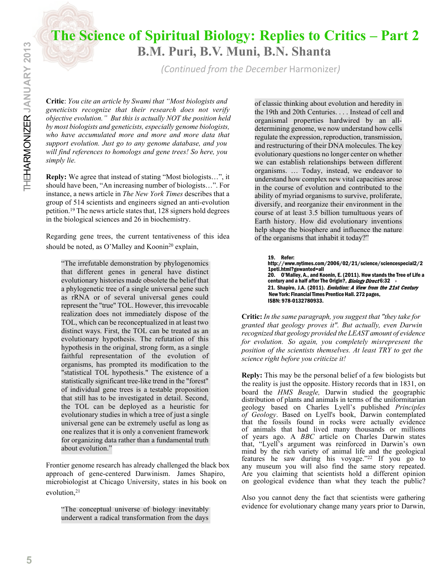# **The Science of Spiritual Biology: Replies to Critics – Part 2 B.M. Puri, B.V. Muni, B.N. Shanta**

*(Continued from the December* Harmonizer*)*

**Critic**: *You cite an article by Swami that "Most biologists and geneticists recognize that their research does not verify objective evolution." But this is actually NOT the position held by most biologists and geneticists, especially genome biologists, who have accumulated more and more and more data that support evolution. Just go to any genome database, and you will find references to homologs and gene trees! So here, you simply lie.*

**Reply:** We agree that instead of stating "Most biologists…", it should have been, "An increasing number of biologists…". For instance, a news article in *The New York Times* describes that a group of 514 scientists and engineers signed an anti-evolution petition.<sup>19</sup> The news article states that, 128 signers hold degrees in the biological sciences and 26 in biochemistry.

Regarding gene trees, the current tentativeness of this idea should be noted, as O'Malley and Koonin<sup>20</sup> explain,

"The irrefutable demonstration by phylogenomics that different genes in general have distinct evolutionary histories made obsolete the belief that a phylogenetic tree of a single universal gene such as rRNA or of several universal genes could represent the "true" TOL. However, this irrevocable realization does not immediately dispose of the TOL, which can be reconceptualized in at least two distinct ways. First, the TOL can be treated as an evolutionary hypothesis. The refutation of this hypothesis in the original, strong form, as a single faithful representation of the evolution of organisms, has prompted its modification to the "statistical TOL hypothesis." The existence of a statistically significant tree-like trend in the "forest" of individual gene trees is a testable proposition that still has to be investigated in detail. Second, the TOL can be deployed as a heuristic for evolutionary studies in which a tree of just a single universal gene can be extremely useful as long as one realizes that it is only a convenient framework for organizing data rather than a fundamental truth about evolution."

Frontier genome research has already challenged the black box approach of gene-centered Darwinism. James Shapiro, microbiologist at Chicago University, states in his book on evolution, 21

"The conceptual universe of biology inevitably underwent a radical transformation from the days

of classic thinking about evolution and heredity in the 19th and 20th Centuries. . . . Instead of cell and organismal properties hardwired by an alldetermining genome, we now understand how cells regulate the expression, reproduction, transmission, and restructuring of their DNA molecules. The key evolutionary questions no longer center on whether we can establish relationships between different organisms. … Today, instead, we endeavor to understand how complex new vital capacities arose in the course of evolution and contributed to the ability of myriad organisms to survive, proliferate, diversify, and reorganize their environment in the course of at least 3.5 billion tumultuous years of Earth history. How did evolutionary inventions help shape the biosphere and influence the nature of the organisms that inhabit it today?"

19. Refer:

century and a half after The Origin?, *Biology Direct* 6:32 http://www.nytimes.com/2006/02/21/science/sciencespecial2/2 1peti.html?gewanted=all 20. O'Malley, A., and Koonin, E. (2011). How stands the Tree of Life a 21. Shapiro, J.A. (2011). Evolution: A View from the 21st Century New York: Financial Times Prentice Hall. 272 pages, ISBN: 978-0132780933.

**Critic:** *In the same paragraph, you suggest that "they take for granted that geology proves it". But actually, even Darwin recognized that geology provided the LEAST amount of evidence for evolution. So again, you completely misrepresent the position of the scientists themselves. At least TRY to get the science right before you criticize it!*

**Reply:** This may be the personal belief of a few biologists but the reality is just the opposite. History records that in 1831, on board the *HMS Beagle,* Darwin studied the geographic distribution of plants and animals in terms of the uniformitarian geology based on Charles Lyell's published *Principles of Geology*. Based on Lyell's book, Darwin contemplated that the fossils found in rocks were actually evidence of animals that had lived many thousands or millions of years ago. A *BBC* article on Charles Darwin states that, "Lyell's argument was reinforced in Darwin's own mind by the rich variety of animal life and the geological features he saw during his voyage."<sup>22</sup> If you go to any museum you will also find the same story repeated. Are you claiming that scientists hold a different opinion on geological evidence than what they teach the public?

Also you cannot deny the fact that scientists were gathering evidence for evolutionary change many years prior to Darwin,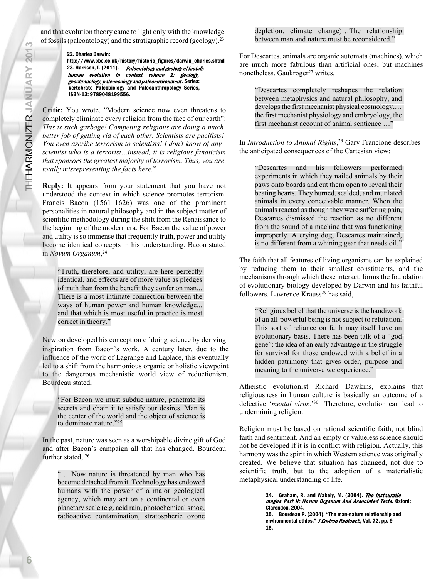and that evolution theory came to light only with the knowledge of fossils (paleontology) and the stratigraphic record (geology).<sup>23</sup>

22. Charles Darwin:

http://www.bbc.co.uk/history/historic\_figures/darwin\_charles.shtml 23. Harrison, T. (2011). Paleontology and geology of laetoli: human evolution in context volume 1: geology, geochronology, paleoecology and paleoenvironment. Series: Vertebrate Paleobiology and Paleoanthropology Series, ISBN-13: 9789048199556.

**Critic:** You wrote, "Modern science now even threatens to completely eliminate every religion from the face of our earth": *This is such garbage! Competing religions are doing a much better job of getting rid of each other. Scientists are pacifists! You even ascribe terrorism to scientists! I don't know of any scientist who is a terrorist…instead, it is religious fanaticism that sponsors the greatest majority of terrorism. Thus, you are totally misrepresenting the facts here.*"

**Reply:** It appears from your statement that you have not understood the context in which science promotes terrorism. Francis Bacon (1561–1626) was one of the prominent personalities in natural philosophy and in the subject matter of scientific methodology during the shift from the Renaissance to the beginning of the modern era. For Bacon the value of power and utility is so immense that frequently truth, power and utility become identical concepts in his understanding. Bacon stated in *Novum Organum*, 24

"Truth, therefore, and utility, are here perfectly identical, and effects are of more value as pledges of truth than from the benefit they confer on man... There is a most intimate connection between the ways of human power and human knowledge... and that which is most useful in practice is most correct in theory."

Newton developed his conception of doing science by deriving inspiration from Bacon's work. A century later, due to the influence of the work of Lagrange and Laplace, this eventually led to a shift from the harmonious organic or holistic viewpoint to the dangerous mechanistic world view of reductionism. Bourdeau stated,

"For Bacon we must subdue nature, penetrate its secrets and chain it to satisfy our desires. Man is the center of the world and the object of science is to dominate nature."<sup>25</sup>

In the past, nature was seen as a worshipable divine gift of God and after Bacon's campaign all that has changed. Bourdeau further stated, 26

"… Now nature is threatened by man who has become detached from it. Technology has endowed humans with the power of a major geological agency, which may act on a continental or even planetary scale (e.g. acid rain, photochemical smog, radioactive contamination, stratospheric ozone depletion, climate change)…The relationship between man and nature must be reconsidered."

For Descartes, animals are organic automata (machines), which are much more fabulous than artificial ones, but machines nonetheless. Gaukroger<sup>27</sup> writes,

"Descartes completely reshapes the relation between metaphysics and natural philosophy, and develops the first mechanist physical cosmology,… the first mechanist physiology and embryology, the first mechanist account of animal sentience …"

In *Introduction to Animal Rights*, <sup>28</sup> Gary Francione describes the anticipated consequences of the Cartesian view:

"Descartes and his followers performed experiments in which they nailed animals by their paws onto boards and cut them open to reveal their beating hearts. They burned, scalded, and mutilated animals in every conceivable manner. When the animals reacted as though they were suffering pain, Descartes dismissed the reaction as no different from the sound of a machine that was functioning improperly. A crying dog, Descartes maintained, is no different from a whining gear that needs oil."

The faith that all features of living organisms can be explained by reducing them to their smallest constituents, and the mechanisms through which these interact, forms the foundation of evolutionary biology developed by Darwin and his faithful followers. Lawrence Krauss<sup>29</sup> has said,

"Religious belief that the universe is the handiwork of an all-powerful being is not subject to refutation. This sort of reliance on faith may itself have an evolutionary basis. There has been talk of a "god gene": the idea of an early advantage in the struggle for survival for those endowed with a belief in a hidden patrimony that gives order, purpose and meaning to the universe we experience."

Atheistic evolutionist Richard Dawkins, explains that religiousness in human culture is basically an outcome of a defective '*mental virus*.'<sup>30</sup> Therefore, evolution can lead to undermining religion.

Religion must be based on rational scientific faith, not blind faith and sentiment. And an empty or valueless science should not be developed if it is in conflict with religion. Actually, this harmony was the spirit in which Western science was originally created. We believe that situation has changed, not due to scientific truth, but to the adoption of a materialistic metaphysical understanding of life.

> 24. Graham, R. and Wakely, M. (2004). The Instauratio magna Part II: Novum Organum And Associated Texts. Oxford: Clarendon, 2004. 25. Bourdeau P. (2004). "The man-nature relationship and environmental ethics." J Environ Radioact., Vol. 72, pp. 9 -15.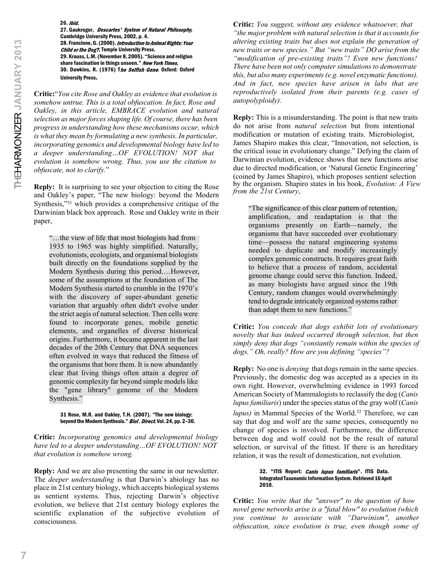26. Ibid. 27. Gaukroger, Descartes' System of Natural Philosophy, Cambridge University Press, 2002, p. 4. 28. Francione, G. (2000). Introduction to Animal Rights: Your Child or the Dog?, Temple University Press. 29. Krauss, L.M. (November 8, 2005). "Science and religion share fascination in things unseen." New York Times. 30. Dawkins, R. (1976) The Selfish Gene. Oxford: Oxford University Press.

**Critic:**"*You cite Rose and Oakley as evidence that evolution is somehow untrue. This is a total obfuscation. In fact, Rose and Oakley, in this article, EMBRACE evolution and natural selection as major forces shaping life. Of course, there has been progress in understanding how these mechanisms occur, which is what they mean by formulating a new synthesis. In particular, incorporating genomics and developmental biology have led to a deeper understanding…OF EVOLUTION! NOT that evolution is somehow wrong. Thus, you use the citation to obfuscate, not to clarify.*"

**Reply:** It is surprising to see your objection to citing the Rose and Oakley's paper, "The new biology: beyond the Modern Synthesis,"<sup>31</sup> which provides a comprehensive critique of the Darwinian black box approach. Rose and Oakley write in their paper,

"…the view of life that most biologists had from 1935 to 1965 was highly simplified. Naturally, evolutionists, ecologists, and organismal biologists built directly on the foundations supplied by the Modern Synthesis during this period.…However, some of the assumptions at the foundation of The Modern Synthesis started to crumble in the 1970's with the discovery of super-abundant genetic variation that arguably often didn't evolve under the strict aegis of natural selection. Then cells were found to incorporate genes, mobile genetic elements, and organelles of diverse historical origins. Furthermore, it became apparent in the last decades of the 20th Century that DNA sequences often evolved in ways that reduced the fitness of the organisms that bore them. It is now abundantly clear that living things often attain a degree of genomic complexity far beyond simple models like the "gene library" genome of the Modern Synthesis."

#### 31 Rose, M.R. and Oakley, T.H. (2007). "The new biology: beyond the Modern Synthesis." Biol. Direct. Vol. 24, pp. 2-30.

**Critic:** *Incorporating genomics and developmental biology have led to a deeper understanding…OF EVOLUTION! NOT that evolution is somehow wrong.*

**Reply:** And we are also presenting the same in our newsletter. The *deeper understanding* is that Darwin's abiology has no place in 21st century biology, which accepts biological systems as sentient systems. Thus, rejecting Darwin's objective evolution, we believe that 21st century biology explores the scientific explanation of the subjective evolution of consciousness.

**Critic:** *You suggest, without any evidence whatsoever, that "the major problem with natural selection is that it accounts for altering existing traits but does not explain the generation of new traits or new species." But "new traits" DO arise from the "modification of pre-existing traits"! Even new functions! There have been not only computer simulations to demonstrate this, but also many experiments (e.g. novel enzymatic functions). And in fact, new species have arisen in labs that are reproductively isolated from their parents (e.g. cases of autopolyploidy).*

**Reply:** This is a misunderstanding. The point is that new traits do not arise from *natural selection* but from intentional modification or mutation of existing traits. Microbiologist, James Shapiro makes this clear, "Innovation, not selection, is the critical issue in evolutionary change." Defying the claim of Darwinian evolution, evidence shows that new functions arise due to directed modification, or 'Natural Genetic Engineering' (coined by James Shapiro), which proposes sentient selection by the organism. Shapiro states in his book, *Evolution: A View from the 21st Century*,

"The significance of this clear pattern of retention, amplification, and readaptation is that the organisms presently on Earth—namely, the organisms that have succeeded over evolutionary time—possess the natural engineering systems needed to duplicate and modify increasingly complex genomic constructs. It requires great faith to believe that a process of random, accidental genome change could serve this function. Indeed, as many biologists have argued since the 19th Century, random changes would overwhelmingly tend to degrade intricately organized systems rather than adapt them to new functions."

**Critic:** *You concede that dogs exhibit lots of evolutionary novelty that has indeed occurred through selection, but then simply deny that dogs "constantly remain within the species of dogs." Oh, really? How are you defining "species"?*

**Reply:** No one is *denying* that dogs remain in the same species. Previously, the domestic dog was accepted as a species in its own right. However, overwhelming evidence in 1993 forced American Society of Mammalogists to reclassify the dog (*Canis lupus familiaris*) under the species status of the gray wolf (*Canis lupus)* in Mammal Species of the World.<sup>32</sup> Therefore, we can say that dog and wolf are the same species, consequently no change of species is involved. Furthermore, the difference between dog and wolf could not be the result of natural selection, or survival of the fittest. If there is an hereditary relation, it was the result of domestication, not evolution.

#### 32. "ITIS Report: *Canis lupus familiaris*". ITIS Data. Integrated Taxonomic Information System. Retrieved 16 April 2010.

**Critic:** *You write that the "answer" to the question of how novel gene networks arise is a "fatal blow" to evolution (which you continue to associate with "Darwinism", another obfuscation, since evolution is true, even though some of*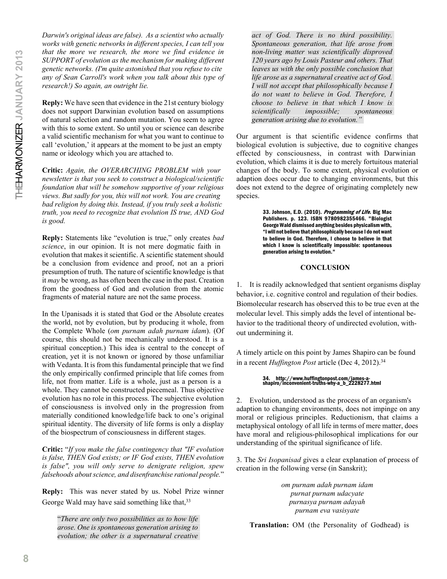*Darwin's original ideas are false). As a scientist who actually works with genetic networks in different species, I can tell you that the more we research, the more we find evidence in SUPPORT of evolution as the mechanism for making different genetic networks. (I'm quite astonished that you refuse to cite any of Sean Carroll's work when you talk about this type of research!) So again, an outright lie.*

**Reply:** We have seen that evidence in the 21st century biology does not support Darwinian evolution based on assumptions of natural selection and random mutation. You seem to agree with this to some extent. So until you or science can describe a valid scientific mechanism for what you want to continue to call 'evolution,' it appears at the moment to be just an empty name or ideology which you are attached to.

**Critic:** *Again, the OVERARCHING PROBLEM with your newsletter is that you seek to construct a biological/scientific foundation that will be somehow supportive of your religious views. But sadly for you, this will not work. You are creating bad religion by doing this. Instead, if you truly seek a holistic truth, you need to recognize that evolution IS true, AND God is good.*

**Reply:** Statements like "evolution is true," only creates *bad science*, in our opinion. It is not mere dogmatic faith in evolution that makes it scientific. A scientific statement should be a conclusion from evidence and proof, not an a priori presumption of truth. The nature of scientific knowledge is that it *may* be wrong, as has often been the case in the past. Creation from the goodness of God and evolution from the atomic fragments of material nature are not the same process.

In the Upanisads it is stated that God or the Absolute creates the world, not by evolution, but by producing it whole, from the Complete Whole (*om purnam adah purnam idam*). (Of course, this should not be mechanically understood. It is a spiritual conception.) This idea is central to the concept of creation, yet it is not known or ignored by those unfamiliar with Vedanta. It is from this fundamental principle that we find the only empirically confirmed principle that life comes from life, not from matter. Life is a whole, just as a person is a whole. They cannot be constructed piecemeal. Thus objective evolution has no role in this process. The subjective evolution of consciousness is involved only in the progression from materially conditioned knowledge/life back to one's original spiritual identity. The diversity of life forms is only a display of the biospectrum of consciousness in different stages.

**Critic:** "*If you make the false contingency that "IF evolution is false, THEN God exists; or IF God exists, THEN evolution is false", you will only serve to denigrate religion, spew falsehoods about science, and disenfranchise rational people.*"

**Reply:** This was never stated by us. Nobel Prize winner George Wald may have said something like that, 33

"*There are only two possibilities as to how life arose. One is spontaneous generation arising to evolution; the other is a supernatural creative*

*act of God. There is no third possibility. Spontaneous generation, that life arose from non-living matter was scientifically disproved 120 years ago by Louis Pasteur and others. That leaves us with the only possible conclusion that life arose as a supernatural creative act of God. I will not accept that philosophically because I do not want to believe in God. Therefore, I choose to believe in that which I know is scientifically impossible; spontaneous generation arising due to evolution."*

Our argument is that scientific evidence confirms that biological evolution is subjective, due to cognitive changes effected by consciousness, in contrast with Darwinian evolution, which claims it is due to merely fortuitous material changes of the body. To some extent, physical evolution or adaption does occur due to changing environments, but this does not extend to the degree of originating completely new species.

> 33. Johnson, E.D. (2010). Programming of Life. Big Mac Publishers. p. 123. ISBN 9780982355466. "Biologist George Wald dismissed anything besides physicalism with, "I will not believe that philosophically because I do not want to believe in God. Therefore, I choose to believe in that which I know is scientifically impossible: spontaneous generation arising to evolution."

#### **CONCLUSION**

1. It is readily acknowledged that sentient organisms display behavior, i.e. cognitive control and regulation of their bodies. Biomolecular research has observed this to be true even at the molecular level. This simply adds the level of intentional behavior to the traditional theory of undirected evolution, without undermining it.

A timely article on this point by James Shapiro can be found in a recent *Huffington Post* article (Dec 4, 2012).<sup>34</sup>

## 34. http://www.huffingtonpost.com/james-a-shapiro/inconvenient-truths-why-a\_b\_2228277.html

2. Evolution, understood as the process of an organism's adaption to changing environments, does not impinge on any moral or religious principles. Reductionism, that claims a metaphysical ontology of all life in terms of mere matter, does have moral and religious-philosophical implications for our understanding of the spiritual significance of life.

3. The *Sri Isopanisad* gives a clear explanation of process of creation in the following verse (in Sanskrit);

> *om purnam adah purnam idam purnat purnam udacyate purnasya purnam adayah purnam eva vasisyate*

**Translation:** OM (the Personality of Godhead) is